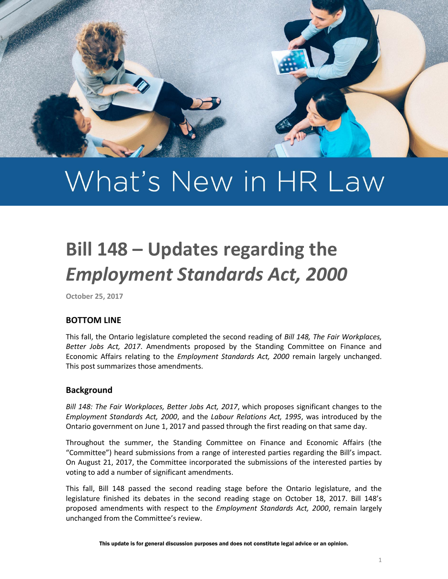

# What's New in HR Law

# **Bill 148 – Updates regarding the**  *Employment Standards Act, 2000*

**October 25, 2017**

# **BOTTOM LINE**

This fall, the Ontario legislature completed the second reading of *Bill 148, The Fair Workplaces, Better Jobs Act, 2017*. Amendments proposed by the Standing Committee on Finance and Economic Affairs relating to the *Employment Standards Act, 2000* remain largely unchanged. This post summarizes those amendments.

## **Background**

*Bill 148: The Fair Workplaces, Better Jobs Act, 2017*, which proposes significant changes to the *Employment Standards Act, 2000*, and the *Labour Relations Act, 1995*, was introduced by the Ontario government on June 1, 2017 and passed through the first reading on that same day.

Throughout the summer, the Standing Committee on Finance and Economic Affairs (the "Committee") heard submissions from a range of interested parties regarding the Bill's impact. On August 21, 2017, the Committee incorporated the submissions of the interested parties by voting to add a number of significant amendments.

This fall, Bill 148 passed the second reading stage before the Ontario legislature, and the legislature finished its debates in the second reading stage on October 18, 2017. Bill 148's proposed amendments with respect to the *Employment Standards Act, 2000*, remain largely unchanged from the Committee's review.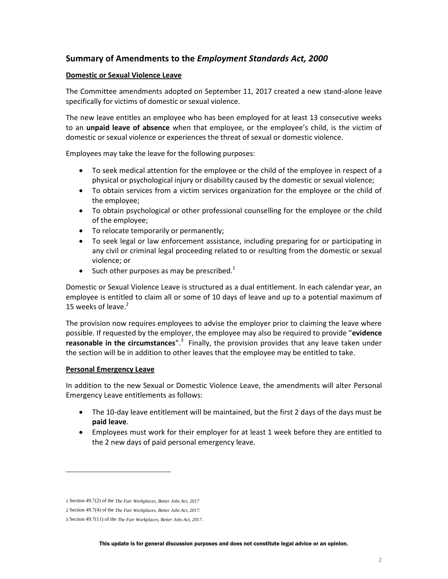# **Summary of Amendments to the** *Employment Standards Act, 2000*

#### **Domestic or Sexual Violence Leave**

The Committee amendments adopted on September 11, 2017 created a new stand-alone leave specifically for victims of domestic or sexual violence.

The new leave entitles an employee who has been employed for at least 13 consecutive weeks to an **unpaid leave of absence** when that employee, or the employee's child, is the victim of domestic or sexual violence or experiences the threat of sexual or domestic violence.

Employees may take the leave for the following purposes:

- To seek medical attention for the employee or the child of the employee in respect of a physical or psychological injury or disability caused by the domestic or sexual violence;
- To obtain services from a victim services organization for the employee or the child of the employee;
- To obtain psychological or other professional counselling for the employee or the child of the employee;
- To relocate temporarily or permanently;
- To seek legal or law enforcement assistance, including preparing for or participating in any civil or criminal legal proceeding related to or resulting from the domestic or sexual violence; or
- $\bullet$  Such other purposes as may be prescribed.<sup>1</sup>

Domestic or Sexual Violence Leave is structured as a dual entitlement. In each calendar year, an employee is entitled to claim all or some of 10 days of leave and up to a potential maximum of 15 weeks of leave.<sup>2</sup>

The provision now requires employees to advise the employer prior to claiming the leave where possible. If requested by the employer, the employee may also be required to provide "**evidence**  reasonable in the circumstances".<sup>3</sup> Finally, the provision provides that any leave taken under the section will be in addition to other leaves that the employee may be entitled to take.

#### **Personal Emergency Leave**

 $\overline{\phantom{a}}$ 

In addition to the new Sexual or Domestic Violence Leave, the amendments will alter Personal Emergency Leave entitlements as follows:

- The 10-day leave entitlement will be maintained, but the first 2 days of the days must be **paid leave**.
- Employees must work for their employer for at least 1 week before they are entitled to the 2 new days of paid personal emergency leave.

<sup>1</sup> Section 49.7(2) of the *The Fair Workplaces, Better Jobs Act, 2017*

<sup>2</sup> Section 49.7(4) of the *The Fair Workplaces, Better Jobs Act, 2017*.

<sup>3</sup> Section 49.7(11) of the *The Fair Workplaces, Better Jobs Act, 2017*.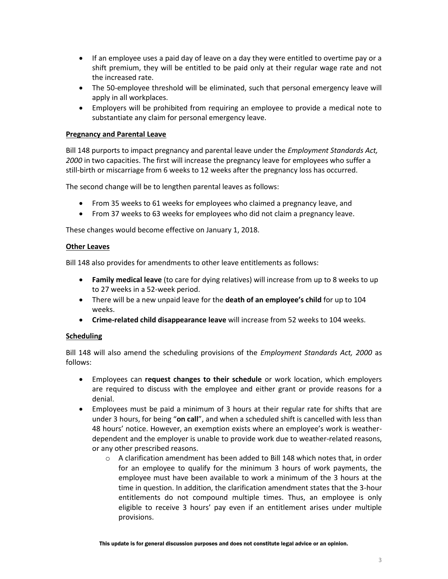- If an employee uses a paid day of leave on a day they were entitled to overtime pay or a shift premium, they will be entitled to be paid only at their regular wage rate and not the increased rate.
- The 50-employee threshold will be eliminated, such that personal emergency leave will apply in all workplaces.
- Employers will be prohibited from requiring an employee to provide a medical note to substantiate any claim for personal emergency leave.

#### **Pregnancy and Parental Leave**

Bill 148 purports to impact pregnancy and parental leave under the *Employment Standards Act, 2000* in two capacities. The first will increase the pregnancy leave for employees who suffer a still-birth or miscarriage from 6 weeks to 12 weeks after the pregnancy loss has occurred.

The second change will be to lengthen parental leaves as follows:

- From 35 weeks to 61 weeks for employees who claimed a pregnancy leave, and
- From 37 weeks to 63 weeks for employees who did not claim a pregnancy leave.

These changes would become effective on January 1, 2018.

#### **Other Leaves**

Bill 148 also provides for amendments to other leave entitlements as follows:

- **Family medical leave** (to care for dying relatives) will increase from up to 8 weeks to up to 27 weeks in a 52-week period.
- There will be a new unpaid leave for the **death of an employee's child** for up to 104 weeks.
- **Crime-related child disappearance leave** will increase from 52 weeks to 104 weeks.

#### **Scheduling**

Bill 148 will also amend the scheduling provisions of the *Employment Standards Act, 2000* as follows:

- Employees can **request changes to their schedule** or work location, which employers are required to discuss with the employee and either grant or provide reasons for a denial.
- Employees must be paid a minimum of 3 hours at their regular rate for shifts that are under 3 hours, for being "**on call**", and when a scheduled shift is cancelled with less than 48 hours' notice. However, an exemption exists where an employee's work is weatherdependent and the employer is unable to provide work due to weather-related reasons, or any other prescribed reasons.
	- $\circ$  A clarification amendment has been added to Bill 148 which notes that, in order for an employee to qualify for the minimum 3 hours of work payments, the employee must have been available to work a minimum of the 3 hours at the time in question. In addition, the clarification amendment states that the 3-hour entitlements do not compound multiple times. Thus, an employee is only eligible to receive 3 hours' pay even if an entitlement arises under multiple provisions.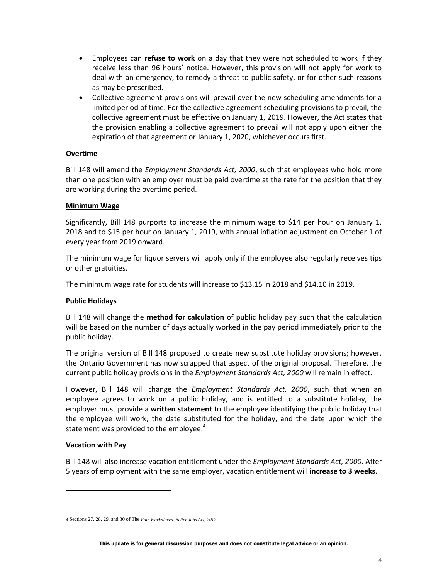- Employees can **refuse to work** on a day that they were not scheduled to work if they receive less than 96 hours' notice. However, this provision will not apply for work to deal with an emergency, to remedy a threat to public safety, or for other such reasons as may be prescribed.
- Collective agreement provisions will prevail over the new scheduling amendments for a limited period of time. For the collective agreement scheduling provisions to prevail, the collective agreement must be effective on January 1, 2019. However, the Act states that the provision enabling a collective agreement to prevail will not apply upon either the expiration of that agreement or January 1, 2020, whichever occurs first.

#### **Overtime**

Bill 148 will amend the *Employment Standards Act, 2000*, such that employees who hold more than one position with an employer must be paid overtime at the rate for the position that they are working during the overtime period.

#### **Minimum Wage**

Significantly, Bill 148 purports to increase the minimum wage to \$14 per hour on January 1, 2018 and to \$15 per hour on January 1, 2019, with annual inflation adjustment on October 1 of every year from 2019 onward.

The minimum wage for liquor servers will apply only if the employee also regularly receives tips or other gratuities.

The minimum wage rate for students will increase to \$13.15 in 2018 and \$14.10 in 2019.

#### **Public Holidays**

Bill 148 will change the **method for calculation** of public holiday pay such that the calculation will be based on the number of days actually worked in the pay period immediately prior to the public holiday.

The original version of Bill 148 proposed to create new substitute holiday provisions; however, the Ontario Government has now scrapped that aspect of the original proposal. Therefore, the current public holiday provisions in the *Employment Standards Act, 2000* will remain in effect.

However, Bill 148 will change the *Employment Standards Act, 2000*, such that when an employee agrees to work on a public holiday, and is entitled to a substitute holiday, the employer must provide a **written statement** to the employee identifying the public holiday that the employee will work, the date substituted for the holiday, and the date upon which the statement was provided to the employee. $4$ 

#### **Vacation with Pay**

 $\overline{\phantom{a}}$ 

Bill 148 will also increase vacation entitlement under the *Employment Standards Act, 2000*. After 5 years of employment with the same employer, vacation entitlement will **increase to 3 weeks**.

<sup>4</sup> Sections 27, 28, 29, and 30 of The *Fair Workplaces, Better Jobs Act, 2017*.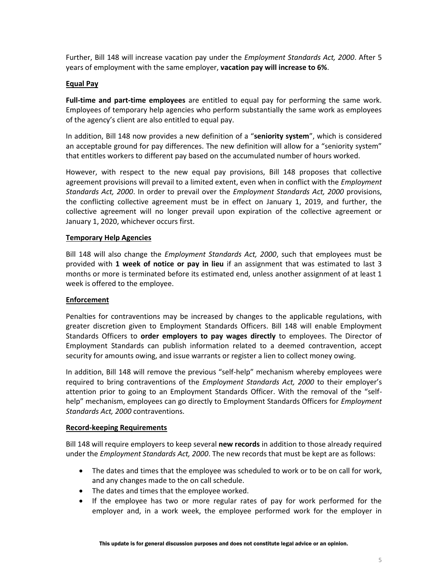Further, Bill 148 will increase vacation pay under the *Employment Standards Act, 2000*. After 5 years of employment with the same employer, **vacation pay will increase to 6%**.

#### **Equal Pay**

**Full-time and part-time employees** are entitled to equal pay for performing the same work. Employees of temporary help agencies who perform substantially the same work as employees of the agency's client are also entitled to equal pay.

In addition, Bill 148 now provides a new definition of a "**seniority system**", which is considered an acceptable ground for pay differences. The new definition will allow for a "seniority system" that entitles workers to different pay based on the accumulated number of hours worked.

However, with respect to the new equal pay provisions, Bill 148 proposes that collective agreement provisions will prevail to a limited extent, even when in conflict with the *Employment Standards Act, 2000*. In order to prevail over the *Employment Standards Act, 2000* provisions, the conflicting collective agreement must be in effect on January 1, 2019, and further, the collective agreement will no longer prevail upon expiration of the collective agreement or January 1, 2020, whichever occurs first.

#### **Temporary Help Agencies**

Bill 148 will also change the *Employment Standards Act, 2000*, such that employees must be provided with **1 week of notice or pay in lieu** if an assignment that was estimated to last 3 months or more is terminated before its estimated end, unless another assignment of at least 1 week is offered to the employee.

## **Enforcement**

Penalties for contraventions may be increased by changes to the applicable regulations, with greater discretion given to Employment Standards Officers. Bill 148 will enable Employment Standards Officers to **order employers to pay wages directly** to employees. The Director of Employment Standards can publish information related to a deemed contravention, accept security for amounts owing, and issue warrants or register a lien to collect money owing.

In addition, Bill 148 will remove the previous "self-help" mechanism whereby employees were required to bring contraventions of the *Employment Standards Act, 2000* to their employer's attention prior to going to an Employment Standards Officer. With the removal of the "selfhelp" mechanism, employees can go directly to Employment Standards Officers for *Employment Standards Act, 2000* contraventions.

#### **Record-keeping Requirements**

Bill 148 will require employers to keep several **new records** in addition to those already required under the *Employment Standards Act, 2000*. The new records that must be kept are as follows:

- The dates and times that the employee was scheduled to work or to be on call for work, and any changes made to the on call schedule.
- The dates and times that the employee worked.
- If the employee has two or more regular rates of pay for work performed for the employer and, in a work week, the employee performed work for the employer in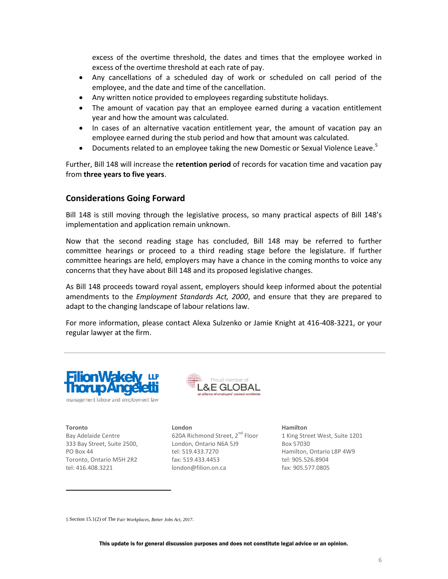excess of the overtime threshold, the dates and times that the employee worked in excess of the overtime threshold at each rate of pay.

- Any cancellations of a scheduled day of work or scheduled on call period of the employee, and the date and time of the cancellation.
- Any written notice provided to employees regarding substitute holidays.
- The amount of vacation pay that an employee earned during a vacation entitlement year and how the amount was calculated.
- In cases of an alternative vacation entitlement year, the amount of vacation pay an employee earned during the stub period and how that amount was calculated.
- Documents related to an employee taking the new Domestic or Sexual Violence Leave.<sup>5</sup>

Further, Bill 148 will increase the **retention period** of records for vacation time and vacation pay from **three years to five years**.

#### **Considerations Going Forward**

Bill 148 is still moving through the legislative process, so many practical aspects of Bill 148's implementation and application remain unknown.

Now that the second reading stage has concluded, Bill 148 may be referred to further committee hearings or proceed to a third reading stage before the legislature. If further committee hearings are held, employers may have a chance in the coming months to voice any concerns that they have about Bill 148 and its proposed legislative changes.

As Bill 148 proceeds toward royal assent, employers should keep informed about the potential amendments to the *Employment Standards Act, 2000*, and ensure that they are prepared to adapt to the changing landscape of labour relations law.

For more information, please contact Alexa Sulzenko or Jamie Knight at 416-408-3221, or your regular lawyer at the firm.





**Toronto** Bay Adelaide Centre 333 Bay Street, Suite 2500, PO Box 44 Toronto, Ontario M5H 2R2 tel: 416.408.3221

 $\overline{\phantom{a}}$ 

**London** 620A Richmond Street, 2<sup>nd</sup> Floor London, Ontario N6A 5J9 tel: 519.433.7270 fax: 519.433.4453 london@filion.on.ca

**Hamilton**

1 King Street West, Suite 1201 Box 57030 Hamilton, Ontario L8P 4W9 tel: 905.526.8904 fax: 905.577.0805

<sup>5</sup> Section 15.1(2) of The *Fair Workplaces, Better Jobs Act, 2017*.